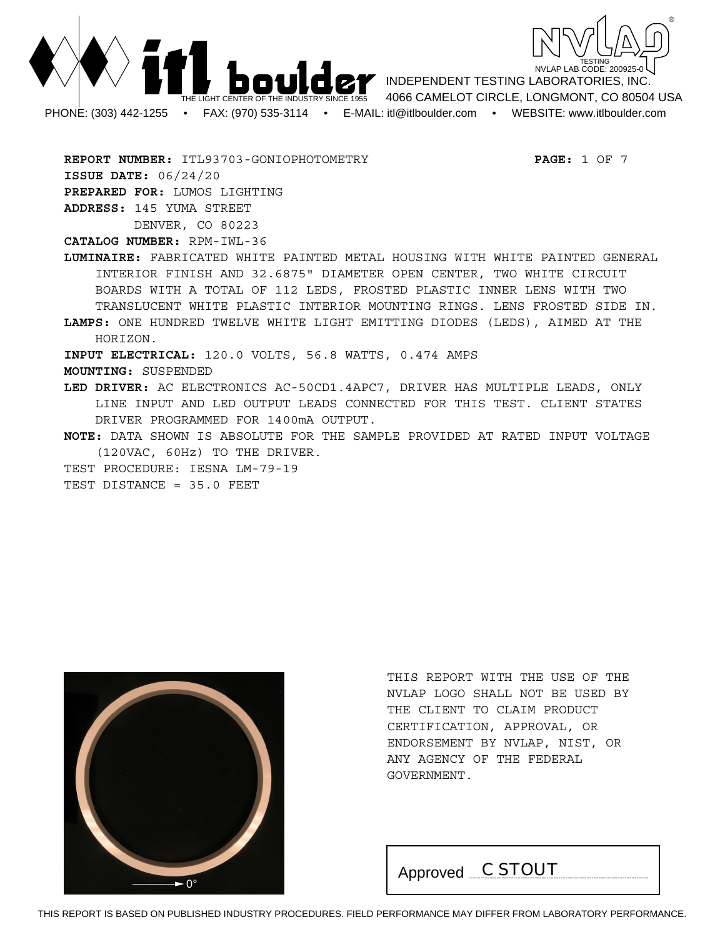



**REPORT NUMBER:** ITL93703-GONIOPHOTOMETRY **PAGE:** 1 OF 7 **ISSUE DATE:** 06/24/20 **PREPARED FOR:** LUMOS LIGHTING **ADDRESS:** 145 YUMA STREET DENVER, CO 80223

**CATALOG NUMBER:** RPM-IWL-36

**LUMINAIRE:** FABRICATED WHITE PAINTED METAL HOUSING WITH WHITE PAINTED GENERAL INTERIOR FINISH AND 32.6875" DIAMETER OPEN CENTER, TWO WHITE CIRCUIT BOARDS WITH A TOTAL OF 112 LEDS, FROSTED PLASTIC INNER LENS WITH TWO TRANSLUCENT WHITE PLASTIC INTERIOR MOUNTING RINGS. LENS FROSTED SIDE IN.

**LAMPS:** ONE HUNDRED TWELVE WHITE LIGHT EMITTING DIODES (LEDS), AIMED AT THE HORIZON.

**INPUT ELECTRICAL:** 120.0 VOLTS, 56.8 WATTS, 0.474 AMPS

**MOUNTING:** SUSPENDED

**LED DRIVER:** AC ELECTRONICS AC-50CD1.4APC7, DRIVER HAS MULTIPLE LEADS, ONLY LINE INPUT AND LED OUTPUT LEADS CONNECTED FOR THIS TEST. CLIENT STATES DRIVER PROGRAMMED FOR 1400mA OUTPUT.

**NOTE:** DATA SHOWN IS ABSOLUTE FOR THE SAMPLE PROVIDED AT RATED INPUT VOLTAGE (120VAC, 60Hz) TO THE DRIVER.

TEST PROCEDURE: IESNA LM-79-19

TEST DISTANCE = 35.0 FEET



THIS REPORT WITH THE USE OF THE NVLAP LOGO SHALL NOT BE USED BY THE CLIENT TO CLAIM PRODUCT CERTIFICATION, APPROVAL, OR ENDORSEMENT BY NVLAP, NIST, OR ANY AGENCY OF THE FEDERAL GOVERNMENT.

Approved *C STOUT*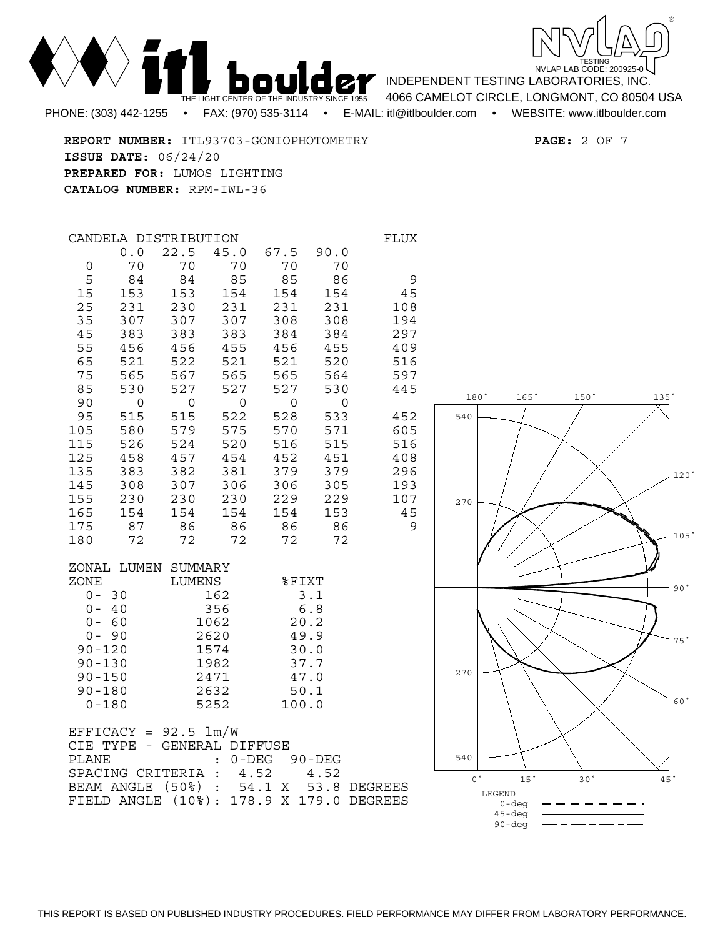

**REPORT NUMBER:** ITL93703-GONIOPHOTOMETRY **PAGE:** 2 OF 7 **ISSUE DATE:** 06/24/20 **PREPARED FOR:** LUMOS LIGHTING **CATALOG NUMBER:** RPM-IWL-36

|                                                                                                                     | CANDELA DISTRIBUTION                                                                                                                                   |                                                                                                                                                              |                                                                                                                               |                                                                                                                                             |                                                                                                                                                      | <b>FLUX</b>                                                                                                     |
|---------------------------------------------------------------------------------------------------------------------|--------------------------------------------------------------------------------------------------------------------------------------------------------|--------------------------------------------------------------------------------------------------------------------------------------------------------------|-------------------------------------------------------------------------------------------------------------------------------|---------------------------------------------------------------------------------------------------------------------------------------------|------------------------------------------------------------------------------------------------------------------------------------------------------|-----------------------------------------------------------------------------------------------------------------|
| 0<br>5<br>15<br>25<br>35<br>45<br>55<br>65<br>75<br>85<br>90<br>95<br>105<br>115<br>125<br>135<br>145<br>155<br>165 | 0.0<br>70<br>84<br>153<br>231<br>307<br>383<br>456<br>521<br>565<br>530<br>$\mathsf{O}\xspace$<br>515<br>580<br>526<br>458<br>383<br>308<br>230<br>154 | 22.5<br>70<br>84<br>153<br>230<br>307<br>383<br>456 455<br>522<br>567<br>527<br>$\mathsf{O}$<br>515<br>579 575<br>524 520<br>457<br>382<br>307<br>230<br>154 | 45.0<br>70<br>85<br>154<br>231<br>307<br>383<br>521<br>565<br>527<br>$\overline{0}$<br>522<br>454<br>381<br>306<br>230<br>154 | 67.5<br>70<br>85<br>154<br>231<br>308<br>384<br>456<br>521<br>565<br>527<br>$\overline{0}$<br>528<br>516<br>452<br>379<br>306<br>229<br>154 | 90.0<br>70<br>86<br>154<br>231<br>308<br>384<br>455<br>520<br>564<br>530<br>$\mathsf{O}$<br>533<br>570 571<br>515<br>451<br>379<br>305<br>229<br>153 | 9<br>45<br>108<br>194<br>297<br>409<br>516<br>597<br>445<br>452<br>605<br>516<br>408<br>296<br>193<br>107<br>45 |
| 175<br>180                                                                                                          | 87<br>72                                                                                                                                               | 86<br>72                                                                                                                                                     | 86<br>72                                                                                                                      | 86<br>72                                                                                                                                    | 86<br>72                                                                                                                                             | 9                                                                                                               |
| ZONE<br>$90 - 120$<br>$90 - 130$<br>$90 - 150$<br>$90 - 180$                                                        | ZONAL LUMEN SUMMARY<br>$0 - 30$<br>$0 - 40$<br>$0 - 60$<br>$0 - 90$<br>$0 - 180$                                                                       | LUMENS                                                                                                                                                       | 162<br>356<br>1062<br>2620<br>1574<br>1982<br>2471<br>2632<br>5252                                                            | %FIXT<br>20.2<br>49.9<br>30.0<br>37.7<br>47.0<br>50.1<br>100.0                                                                              | 3.1<br>6.8                                                                                                                                           |                                                                                                                 |
| CIE TYPE<br><b>PLANE</b>                                                                                            | EFFICACY = $92.5 \text{ lm/W}$<br>$\sim$<br>SPACING CRITERIA                                                                                           | GENERAL DIFFUSE                                                                                                                                              | $\ddot{\cdot}$                                                                                                                | : 0-DEG 90-DEG<br>4.52                                                                                                                      | 4.52                                                                                                                                                 |                                                                                                                 |

BEAM ANGLE (50%) : 54.1 X 53.8 DEGREES FIELD ANGLE (10%): 178.9 X 179.0 DEGREES

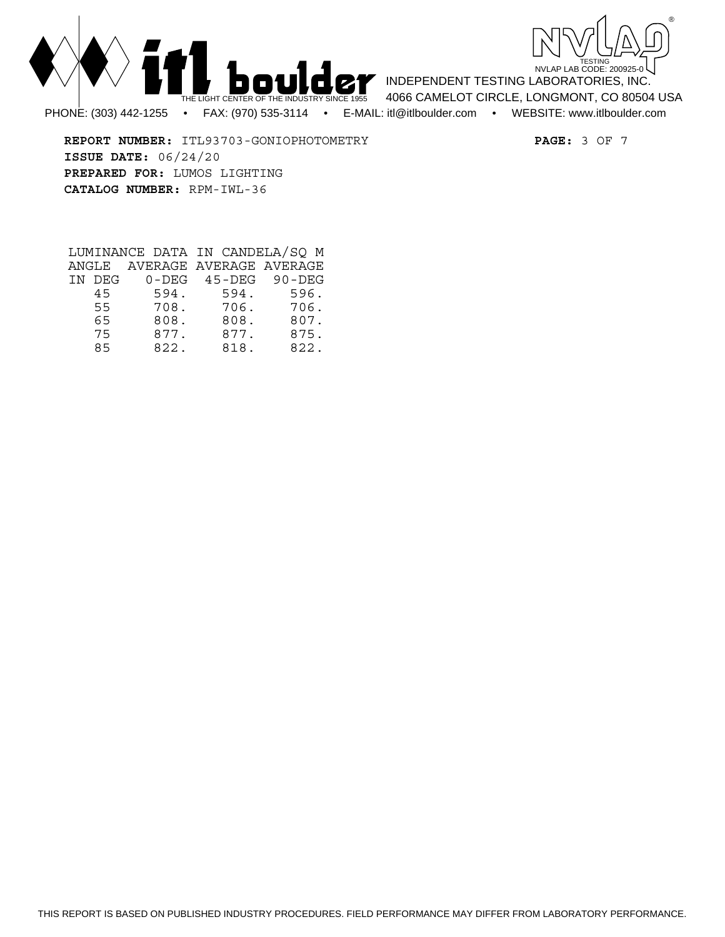



**REPORT NUMBER:** ITL93703-GONIOPHOTOMETRY **PAGE:** 3 OF 7 **ISSUE DATE:** 06/24/20 **PREPARED FOR:** LUMOS LIGHTING **CATALOG NUMBER:** RPM-IWL-36

|        |      | LUMINANCE DATA IN CANDELA/SO M |      |
|--------|------|--------------------------------|------|
|        |      | ANGLE AVERAGE AVERAGE AVERAGE  |      |
| IN DEG |      | 0-DEG 45-DEG 90-DEG            |      |
| 45     | 594. | 594.                           | 596. |
| 55     | 708. | 706.                           | 706. |
| 65     | 808. | 808.                           | 807. |
| 75     | 877. | 877.                           | 875. |
| 85     | 822. | 818.                           | 822. |

THIS REPORT IS BASED ON PUBLISHED INDUSTRY PROCEDURES. FIELD PERFORMANCE MAY DIFFER FROM LABORATORY PERFORMANCE.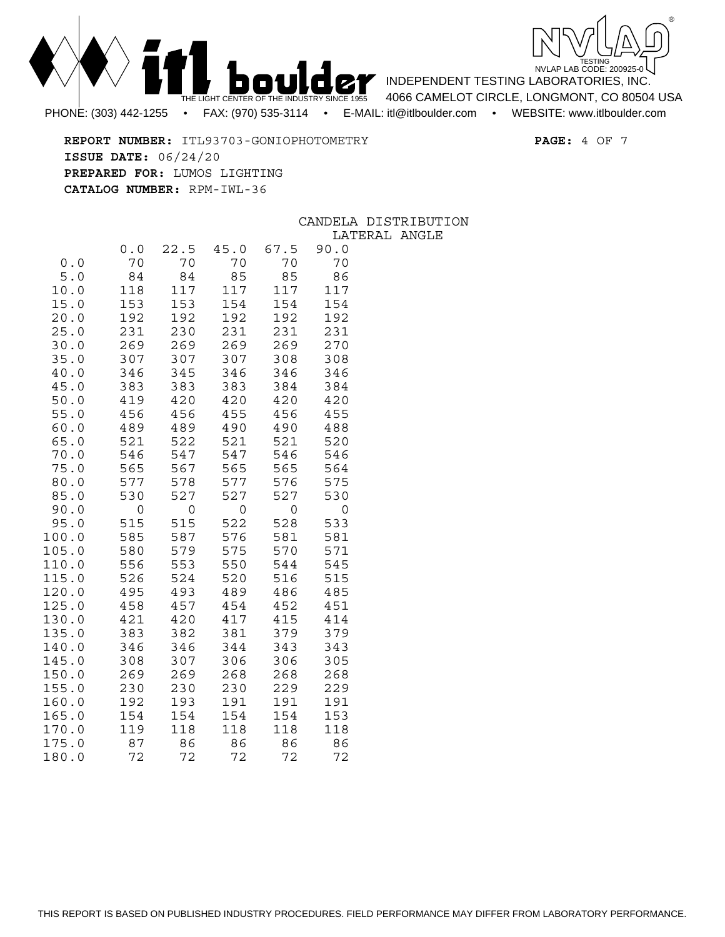



**REPORT NUMBER:** ITL93703-GONIOPHOTOMETRY **PAGE:** 4 OF 7 **ISSUE DATE:** 06/24/20 **PREPARED FOR:** LUMOS LIGHTING **CATALOG NUMBER:** RPM-IWL-36

## CANDELA DISTRIBUTION LATERAL ANGLE

|                |            |            |            |            | <u>، د عسد</u> |
|----------------|------------|------------|------------|------------|----------------|
|                | 0.0        | 22.5       | 45.0       | 67.5       | 90.0           |
| 0.0            | 70         | 70         | 70         | 70         | 70             |
| 5.0            | 84         | 84         | 85         | 85         | 86             |
| 10.0           | 118        | 117        | 117        | 117        | 117            |
| 15.0           | 153        | 153        | 154        | 154        | 154            |
| 20.0           | 192        | 192        | 192        | 192        | 192            |
| 25.0           | 231        | 230        | 231        | 231        | 231            |
| 30.0           | 269        | 269        | 269        | 269        | 270            |
| 35.0           | 307        | 307        | 307        | 308        | 308            |
| 40.0           | 346        | 345        | 346        | 346        | 346            |
| 45.0           | 383        | 383        | 383        | 384        | 384            |
| 50.0           | 419        | 420        | 420        | 420        | 420            |
| 55.0           | 456        | 456        | 455        | 456        | 455            |
| 60.0<br>65.0   | 489<br>521 | 489<br>522 | 490<br>521 | 490<br>521 | 488<br>520     |
| 70.0           | 546        | 547        | 547        | 546        | 546            |
| 75.0           | 565        | 567        | 565        | 565        | 564            |
| 80.0           | 577        | 578        | 577        | 576        | 575            |
| 85.0           | 530        | 527        | 527        | 527        | 530            |
| 90.0           | 0          | 0          | 0          | 0          | 0              |
| 95.0           | 515        | 515        | 522        | 528        | 533            |
| 100.0          | 585        | 587        | 576        | 581        | 581            |
| 105.0          | 580        | 579        | 575        | 570        | 571            |
| 110.0          | 556        | 553        | 550        | 544        | 545            |
| 115.0          | 526        | 524        | 520        | 516        | 515            |
| 120.0          | 495        | 493        | 489        | 486        | 485            |
| 125.0          | 458        | 457        | 454        | 452        | 451            |
| 130.0          | 421        | 420        | 417        | 415        | 414            |
| 135.0          | 383        | 382        | 381        | 379        | 379            |
| 140.0          | 346        | 346        | 344        | 343        | 343            |
| 145.0          | 308        | 307        | 306        | 306        | 305            |
| 150.0          | 269        | 269        | 268        | 268        | 268            |
| 155.0          | 230        | 230        | 230        | 229        | 229            |
| 160.0          | 192        | 193        | 191        | 191        | 191            |
| 165.0          | 154        | 154        | 154        | 154        | 153            |
| 170.0<br>175.0 | 119<br>87  | 118<br>86  | 118<br>86  | 118<br>86  | 118<br>86      |
| 180.0          | 72         | 72         | 72         | 72         | 72             |
|                |            |            |            |            |                |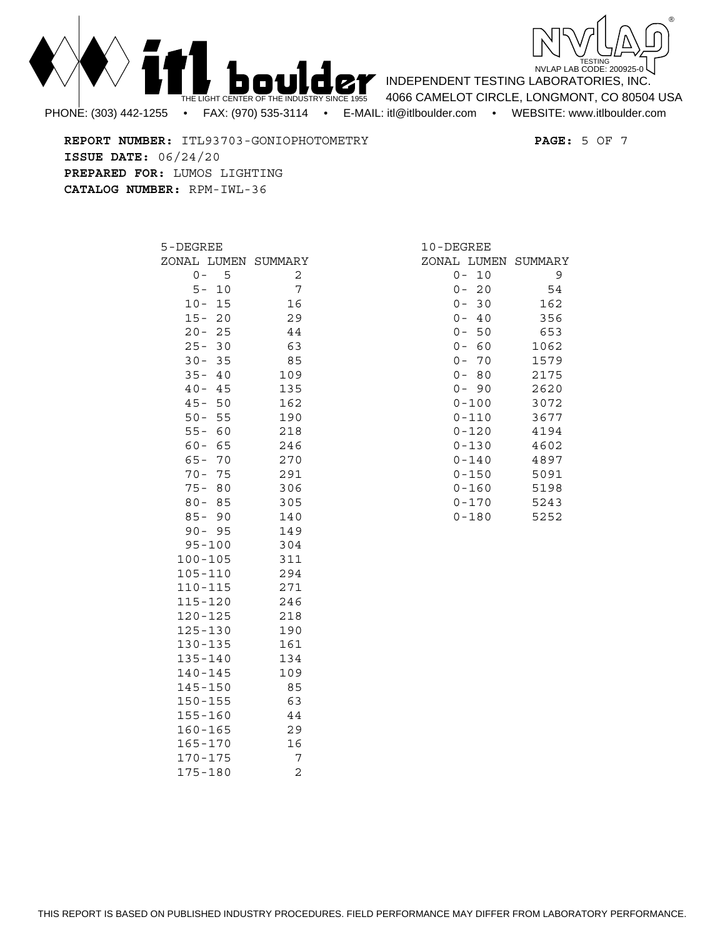



INDEPENDENT TESTING LABORATORIES, INC. 4066 CAMELOT CIRCLE, LONGMONT, CO 80504 USA

**REPORT NUMBER:** ITL93703-GONIOPHOTOMETRY **PAGE:** 5 OF 7 **ISSUE DATE:** 06/24/20 **PREPARED FOR:** LUMOS LIGHTING **CATALOG NUMBER:** RPM-IWL-36

| 5-DEGREE        |    |                     |  |  |  |  |  |  |  |
|-----------------|----|---------------------|--|--|--|--|--|--|--|
|                 |    | ZONAL LUMEN SUMMARY |  |  |  |  |  |  |  |
| $0 -$           | 5  | 2                   |  |  |  |  |  |  |  |
| $5-$            | 10 | 7                   |  |  |  |  |  |  |  |
| $10 -$          | 15 | 16                  |  |  |  |  |  |  |  |
| $15 -$          | 20 | 29                  |  |  |  |  |  |  |  |
| $20 -$          | 25 | 44                  |  |  |  |  |  |  |  |
| $25 -$          | 30 | 63                  |  |  |  |  |  |  |  |
| $30 -$          | 35 | 85                  |  |  |  |  |  |  |  |
| $35 -$          | 40 | 109                 |  |  |  |  |  |  |  |
| $40 -$          | 45 | 135                 |  |  |  |  |  |  |  |
| $45 -$          | 50 | 162                 |  |  |  |  |  |  |  |
| $50 -$          | 55 | 190                 |  |  |  |  |  |  |  |
| $55 -$          | 60 | 218                 |  |  |  |  |  |  |  |
| $60 -$          | 65 | 246                 |  |  |  |  |  |  |  |
| $65 -$          | 70 | 270                 |  |  |  |  |  |  |  |
| $70 -$          | 75 | 291                 |  |  |  |  |  |  |  |
| $75 -$          | 80 | 306                 |  |  |  |  |  |  |  |
| $80 - 85$       |    | 305                 |  |  |  |  |  |  |  |
| $85 - 90$       |    | 140                 |  |  |  |  |  |  |  |
| $90 -$          | 95 | 149                 |  |  |  |  |  |  |  |
| $95 - 100$      |    | 304                 |  |  |  |  |  |  |  |
| $100 - 105$     |    | 311                 |  |  |  |  |  |  |  |
| 105-110         |    | 294                 |  |  |  |  |  |  |  |
| $110 - 115$     |    | 271                 |  |  |  |  |  |  |  |
| 115-120         |    | 246                 |  |  |  |  |  |  |  |
| $120 - 125$     |    | 218                 |  |  |  |  |  |  |  |
| 125-130         |    | 190                 |  |  |  |  |  |  |  |
| 130-135         |    | 161                 |  |  |  |  |  |  |  |
| $135 - 140$     |    | 134                 |  |  |  |  |  |  |  |
| $140 - 145$     |    | 109                 |  |  |  |  |  |  |  |
| $145 - 150$     |    | 85                  |  |  |  |  |  |  |  |
| $150 - 155$     |    | 63                  |  |  |  |  |  |  |  |
| 155-160         |    | 44                  |  |  |  |  |  |  |  |
| $160 - 165$     |    | 29                  |  |  |  |  |  |  |  |
| $165 - 170$     |    | 16                  |  |  |  |  |  |  |  |
| $170 - 175$     |    | 7                   |  |  |  |  |  |  |  |
| $75 - 180$<br>1 |    | $\overline{c}$      |  |  |  |  |  |  |  |

| 10-DEGREE |      |                     |
|-----------|------|---------------------|
|           |      | ZONAL LUMEN SUMMARY |
| 0         | 10   | 9                   |
| 0 –       | 20   | 54                  |
| 0 –       | 30   | 162                 |
| 0 –       | - 40 | 356                 |
| 0 –       | 50   | 653                 |
| 0 –       | - 60 | 1062                |
| $0 -$     | 70   | 1579                |
| $0 -$     | - 80 | 2175                |
| $0 -$     | - 90 | 2620                |
| 0-100     |      | 3072                |
| 0-110     |      | 3677                |
| $0 - 120$ |      | 4194                |
| 0-130     |      | 4602                |
| 0-140     |      | 4897                |
| $0 - 150$ |      | 5091                |
| $0 - 160$ |      | 5198                |
| 0-170     |      | 5243                |
| 0-180     |      | 5252                |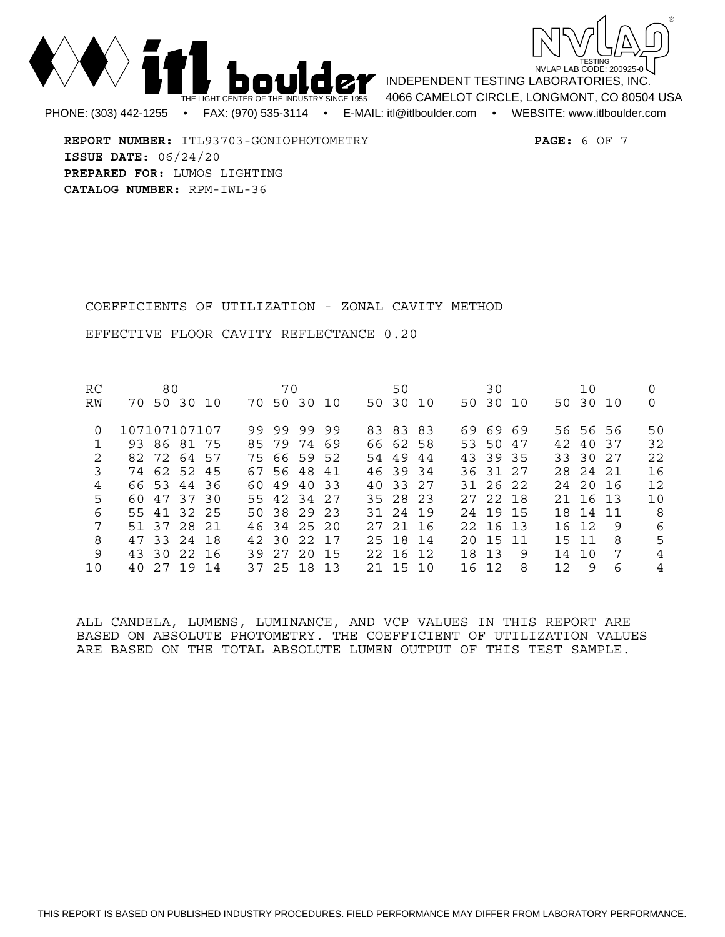



**REPORT NUMBER:** ITL93703-GONIOPHOTOMETRY **PAGE:** 6 OF 7 **ISSUE DATE:** 06/24/20 **PREPARED FOR:** LUMOS LIGHTING **CATALOG NUMBER:** RPM-IWL-36

COEFFICIENTS OF UTILIZATION - ZONAL CAVITY METHOD

EFFECTIVE FLOOR CAVITY REFLECTANCE 0.20

| RC |              | 80 |             |  | 70          |  |  | 50       |  |    | 30       |   |     | 10       |     |     |
|----|--------------|----|-------------|--|-------------|--|--|----------|--|----|----------|---|-----|----------|-----|-----|
| RW |              |    | 70 50 30 10 |  | 70 50 30 10 |  |  | 50 30 10 |  |    | 50 30 10 |   |     | 50 30 10 |     | 0   |
| 0  | 107107107107 |    |             |  | 99 99 99 99 |  |  | 83 83 83 |  |    | 69 69 69 |   |     | 56 56 56 |     | 50  |
|    |              |    | 93 86 81 75 |  | 85 79 74 69 |  |  | 66 62 58 |  |    | 53 50 47 |   |     | 42 40 37 |     | 32  |
| 2  |              |    | 82 72 64 57 |  | 75 66 59 52 |  |  | 54 49 44 |  |    | 43 39 35 |   |     | 33 30 27 |     | 22  |
| 3  |              |    | 74 62 52 45 |  | 67 56 48 41 |  |  | 46 39 34 |  |    | 36 31 27 |   |     | 28 24 21 |     | 16  |
| 4  |              |    | 66 53 44 36 |  | 60 49 40 33 |  |  | 40 33 27 |  |    | 31 26 22 |   |     | 242016   |     | 12  |
| 5  |              |    | 60 47 37 30 |  | 55 42 34 27 |  |  | 35 28 23 |  |    | 27 22 18 |   |     | 21 16 13 |     | 10  |
| 6  |              |    | 55 41 32 25 |  | 50 38 29 23 |  |  | 31 24 19 |  |    | 24 19 15 |   |     | 18 14 11 |     | - 8 |
| 7  |              |    | 51 37 28 21 |  | 46 34 25 20 |  |  | 27 21 16 |  |    | 22 16 13 |   |     | 16 12    | - 9 | 6   |
| 8  |              |    | 47 33 24 18 |  | 42 30 22 17 |  |  | 25 18 14 |  |    | 20 15 11 |   |     | 15 11    | -8  | 5   |
| 9  |              |    | 43 30 22 16 |  | 39 27 20 15 |  |  | 22 16 12 |  |    | 18 13    | 9 |     | 14 10    | -7  | 4   |
| 10 |              |    | 40 27 19 14 |  | 37 25 18 13 |  |  | 21 15 10 |  | 16 | 12.      | 8 | 12. | 9        | 6   | 4   |

ALL CANDELA, LUMENS, LUMINANCE, AND VCP VALUES IN THIS REPORT ARE BASED ON ABSOLUTE PHOTOMETRY. THE COEFFICIENT OF UTILIZATION VALUES ARE BASED ON THE TOTAL ABSOLUTE LUMEN OUTPUT OF THIS TEST SAMPLE.